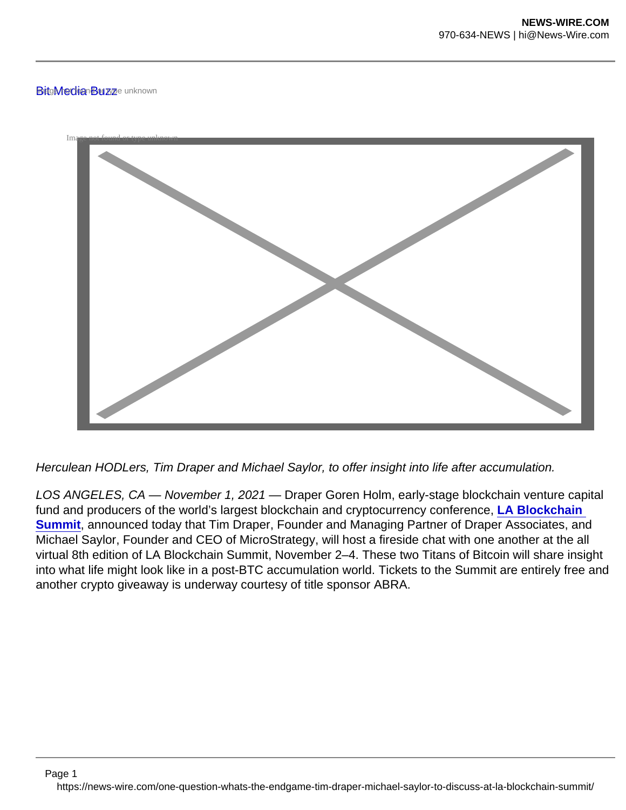## BitgMedian Buzze unknown



Herculean HODLers, Tim Draper and Michael Saylor, to offer insight into life after accumulation.

LOS ANGELES, CA — November 1, 2021 — Draper Goren Holm, early-stage blockchain venture capital fund and producers of the world's largest blockchain and cryptocurrency conference, LA Blockchain Summit , announced today that Tim Draper, Founder and Managing Partner of Draper Associates, and Michael Saylor, Founder and CEO of MicroStrategy, will host a fireside chat with one another at the all virtual 8th edition of LA Blockchain Summit, November 2–4. These two Titans of Bitcoin will share insight into what life might look like in a post-BTC accumulation world. Tickets to the Summit are entirely free and another crypto giveaway is underway courtesy of title sponsor ABRA.